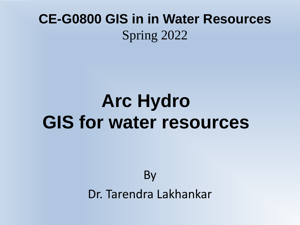## **CE-G0800 GIS in in Water Resources** Spring 2022

# **Arc Hydro GIS for water resources**

By Dr. Tarendra Lakhankar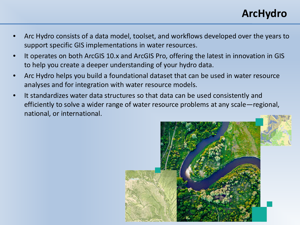#### **ArcHydro**

- Arc Hydro consists of a data model, toolset, and workflows developed over the years to support specific GIS implementations in water resources.
- It operates on both ArcGIS 10.x and ArcGIS Pro, offering the latest in innovation in GIS to help you create a deeper understanding of your hydro data.
- Arc Hydro helps you build a foundational dataset that can be used in water resource analyses and for integration with water resource models.
- It standardizes water data structures so that data can be used consistently and efficiently to solve a wider range of water resource problems at any scale—regional, national, or international.

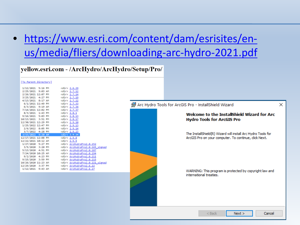### • [https://www.esri.com/content/dam/esrisites/en](https://www.esri.com/content/dam/esrisites/en-us/media/fliers/downloading-arc-hydro-2021.pdf)us/media/fliers/downloading-arc-hydro-2021.pdf

#### yellow.esri.com - /ArcHydro/ArcHydro/Setup/Pro/

#### [To Parent Directory]

| 1/12/2021 5:16 PM                      |                                       | <dir> <u>2.6.29</u></dir>                                     |
|----------------------------------------|---------------------------------------|---------------------------------------------------------------|
| 2/25/2021 9:03 AM                      |                                       | <dir> <u>2.7.12</u></dir>                                     |
|                                        | 2/26/2021 12:07 PM <dir> 2.7.14</dir> |                                                               |
|                                        | 3/25/2021 4:27 PM <dir> 2.7.19</dir>  |                                                               |
| 4/13/2021 8:17 AM <dir> 2.7.22</dir>   |                                       |                                                               |
| 6/1/2021 11:49 PM <dir> 2.7.33</dir>   |                                       |                                                               |
| 6/3/2021 9:19 AM <dir> 2.7.34</dir>    |                                       |                                                               |
| 7/14/2021 12:02 PM <dir> 2.7.37</dir>  |                                       |                                                               |
| 8/3/2021 1:43 PM <dir> 2.8.1</dir>     |                                       |                                                               |
| 9/16/2021 5:03 PM <dir> 2.8.13</dir>   |                                       |                                                               |
| 10/13/2021 3:51 PM <dir> 2.8.17</dir>  |                                       |                                                               |
| 12/30/2021 12:29 PM <dir> 2.9.10</dir> |                                       |                                                               |
|                                        | 1/25/2022 12:47 PM <dir> 2.9.13</dir> |                                                               |
| 2/6/2022 8:05 PM <dir> 2.9.14</dir>    |                                       |                                                               |
| 3/7/2022 4:28 PM                       |                                       | <dir> <u>2.9.23</u></dir>                                     |
| 3/15/2022 9:20 AM                      |                                       | $\langle \text{dir} \rangle$ 2.9.24                           |
| 12/17/2021 12:08 PM                    |                                       | <dir> <u>2.9.8</u></dir>                                      |
| 12/22/2021 10:12 AM                    |                                       | <dir> 2.9.9</dir>                                             |
|                                        |                                       | 1/27/2020 5:27 PM <dir> <u>ArcHydroPro2.0.152</u></dir>       |
|                                        |                                       | 3/5/2020 3:20 PM <dir> <u>ArcHydroPro2.0.165 signed</u></dir> |
|                                        |                                       | 5/13/2020 4:51 PM <dir> ArcHydroPro2.0.187</dir>              |
|                                        |                                       | 7/24/2020 10:25 AM <dir> <u>ArcHydroPro2.0.194</u></dir>      |
|                                        |                                       |                                                               |
|                                        |                                       | 9/15/2020 3:59 PM <dir> <u>ArcHydroPro2.0.215</u></dir>       |
|                                        |                                       | 10/26/2020 11:23 AM <dir> ArcHydroPro2.0.221 signed</dir>     |
|                                        |                                       | 12/29/2020 3:37 PM <dir> ArcHydroPro2.6.22</dir>              |
|                                        |                                       | 1/12/2021 9:43 AM <dir> ArcHydroPro2.6.27</dir>               |
|                                        |                                       |                                                               |

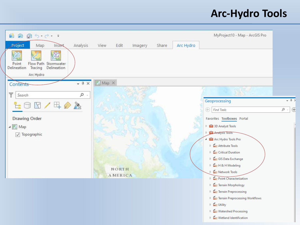#### **Arc-Hydro Tools**

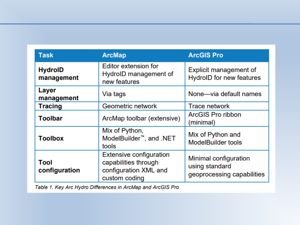| <b>Task</b>                  | <b>ArcMap</b>                                                                                    | <b>ArcGIS Pro</b>                                                     |  |  |  |
|------------------------------|--------------------------------------------------------------------------------------------------|-----------------------------------------------------------------------|--|--|--|
| <b>HydrolD</b><br>management | <b>Editor extension for</b><br>HydrolD management of<br>new features                             | <b>Explicit management of</b><br><b>HydroID</b> for new features      |  |  |  |
| Layer<br>management          | Via tags                                                                                         | None-via default names                                                |  |  |  |
| <b>Tracing</b>               | Geometric network                                                                                | <b>Trace network</b>                                                  |  |  |  |
| <b>Toolbar</b>               | ArcMap toolbar (extensive)                                                                       | <b>ArcGIS Pro ribbon</b><br>(minimal)                                 |  |  |  |
| <b>Toolbox</b>               | Mix of Python,<br>ModelBuilder <sup>™</sup> , and .NET<br>tools                                  | Mix of Python and<br><b>ModelBuilder tools</b>                        |  |  |  |
| Tool<br>configuration        | <b>Extensive configuration</b><br>capabilities through<br>configuration XML and<br>custom coding | Minimal configuration<br>using standard<br>geoprocessing capabilities |  |  |  |

Table 1. Key Arc Hydro Differences in ArcMap and ArcGIS Pro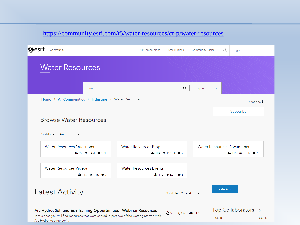#### <https://community.esri.com/t5/water-resources/ct-p/water-resources>

| @esri<br>Community                                                              | All Communities                                        | ArcGIS Ideas         | <b>Community Basics</b> | Q             | Sign In                                                                         |  |
|---------------------------------------------------------------------------------|--------------------------------------------------------|----------------------|-------------------------|---------------|---------------------------------------------------------------------------------|--|
| <b>Water Resources</b>                                                          |                                                        |                      |                         |               |                                                                                 |  |
| Search                                                                          |                                                        | Q                    | This place              | $\checkmark$  |                                                                                 |  |
| Home > All Communities > Industries > Water Resources                           |                                                        |                      |                         |               | Options:<br>Subscribe                                                           |  |
| <b>Browse Water Resources</b>                                                   |                                                        |                      |                         |               |                                                                                 |  |
| Sort/Filter: A-Z<br>$\check{ }$                                                 |                                                        |                      |                         |               |                                                                                 |  |
|                                                                                 |                                                        |                      |                         |               |                                                                                 |  |
| <b>Water Resources Questions</b><br>$4 + 97$ $\circledcirc$ 2.4M $\bullet$ 1.2K | <b>Water Resources Blog</b><br>2+104 → 117.5K → 9      |                      |                         |               | <b>Water Resources Documents</b><br>$4 + 115$ $\circledcirc$ 95.3K $\bullet$ 73 |  |
| <b>Water Resources Videos</b><br>$4 + 113$ $\odot$ 7.1K $\odot$ 7               | <b>Water Resources Events</b><br>$4 + 112$ $6.2K$ $98$ |                      |                         |               |                                                                                 |  |
| <b>Latest Activity</b>                                                          |                                                        | Sort/Filter: Created |                         | Create A Post |                                                                                 |  |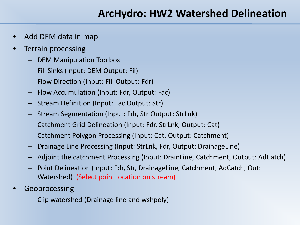#### **ArcHydro: HW2 Watershed Delineation**

- Add DEM data in map
- Terrain processing
	- DEM Manipulation Toolbox
	- Fill Sinks (Input: DEM Output: Fil)
	- Flow Direction (Input: Fil Output: Fdr)
	- Flow Accumulation (Input: Fdr, Output: Fac)
	- Stream Definition (Input: Fac Output: Str)
	- Stream Segmentation (Input: Fdr, Str Output: StrLnk)
	- Catchment Grid Delineation (Input: Fdr, StrLnk, Output: Cat)
	- Catchment Polygon Processing (Input: Cat, Output: Catchment)
	- Drainage Line Processing (Input: StrLnk, Fdr, Output: DrainageLine)
	- Adjoint the catchment Processing (Input: DrainLine, Catchment, Output: AdCatch)
	- Point Delineation (Input: Fdr, Str, DrainageLine, Catchment, AdCatch, Out: Watershed) (Select point location on stream)
- **Geoprocessing** 
	- Clip watershed (Drainage line and wshpoly)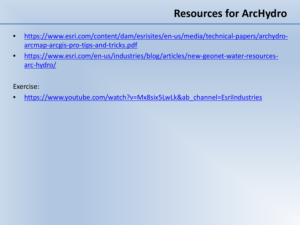### **Resources for ArcHydro**

- [https://www.esri.com/content/dam/esrisites/en-us/media/technical-papers/archydro](https://www.esri.com/content/dam/esrisites/en-us/media/technical-papers/archydro-arcmap-arcgis-pro-tips-and-tricks.pdf)arcmap-arcgis-pro-tips-and-tricks.pdf
- [https://www.esri.com/en-us/industries/blog/articles/new-geonet-water-resources](https://www.esri.com/en-us/industries/blog/articles/new-geonet-water-resources-arc-hydro/)arc-hydro/

Exercise:

• [https://www.youtube.com/watch?v=Mx8six5LwLk&ab\\_channel=EsriIndustries](https://www.youtube.com/watch?v=Mx8six5LwLk&ab_channel=EsriIndustries)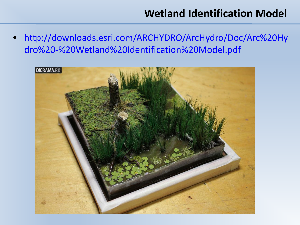#### **Wetland Identification Model**

• [http://downloads.esri.com/ARCHYDRO/ArcHydro/Doc/Arc%20Hy](http://downloads.esri.com/ARCHYDRO/ArcHydro/Doc/Arc%20Hydro%20-%20Wetland%20Identification%20Model.pdf) dro%20-%20Wetland%20Identification%20Model.pdf